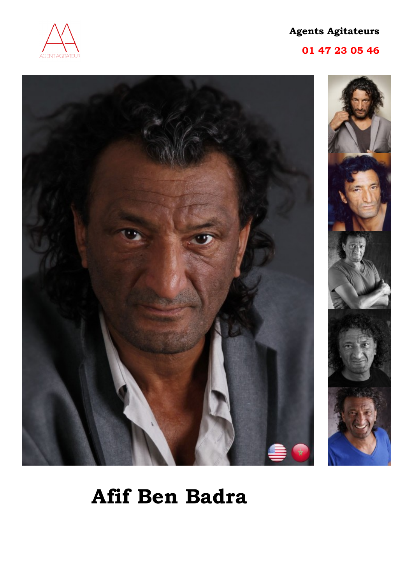

# **01 47 23 05 46**



# **Afif Ben Badra**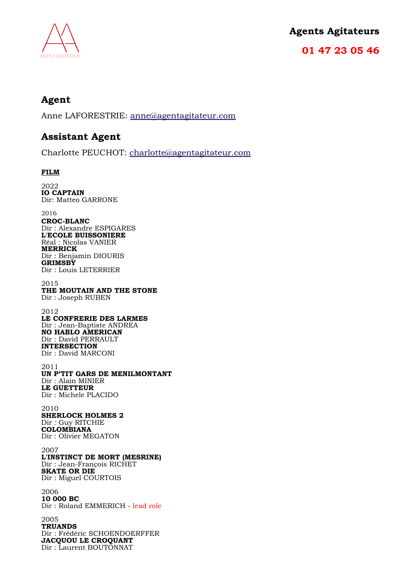

**01 47 23 05 46**

# **Agent**

Anne LAFORESTRIE: [anne@agentagitateur.com](mailto:anne@agentagitateur.com)

# **Assistant Agent**

Charlotte PEUCHOT: [charlotte@agentagitateur.com](mailto:charlotte@agentagitateur.com)

### **FILM**

2022 **IO CAPTAIN** Dir: Matteo GARRONE 2016

**CROC-BLANC** Dir : Alexandre ESPIGARES **L'ECOLE BUISSONIERE** Réal : Nicolas VANIER **MERRICK** Dir : Benjamin DIOURIS **GRIMSBY** Dir : Louis LETERRIER

2015 **THE MOUTAIN AND THE STONE** Dir : Joseph RUBEN

2012 **LE CONFRERIE DES LARMES** Dir : Jean-Baptiste ANDREA **NO HABLO AMERICAN** Dir : David PERRAULT **INTERSECTION** Dir : David MARCONI

2011 **UN P'TIT GARS DE MENILMONTANT** Dir : Alain MINIER **LE GUETTEUR** Dir : Michele PLACIDO

2010 **SHERLOCK HOLMES 2** Dir : Guy RITCHIE **COLOMBIANA**  Dir : Olivier MEGATON

2007 **L'INSTINCT DE MORT (MESRINE)** Dir : Jean-François RICHET **SKATE OR DIE** Dir : Miguel COURTOIS

2006 **10 000 BC** Dir : Roland EMMERICH - lead role

2005 **TRUANDS**  Dir : Frédéric SCHOENDOERFFER **JACQUOU LE CROQUANT** Dir : Laurent BOUTONNAT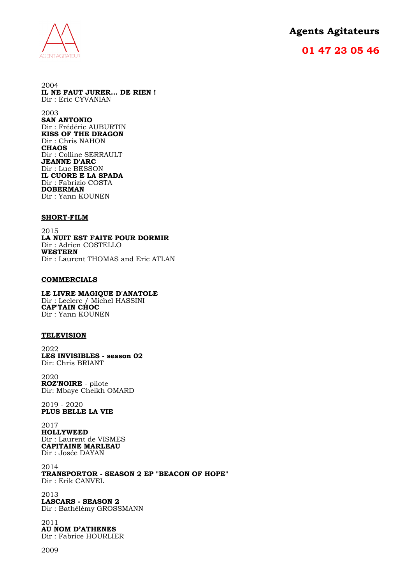

## **01 47 23 05 46**

2004 **IL NE FAUT JURER... DE RIEN !** Dir : Eric CYVANIAN

2003 **SAN ANTONIO** Dir : Frédéric AUBURTIN **KISS OF THE DRAGON**  Dir : Chris NAHON **CHAOS** Dir : Colline SERRAULT **JEANNE D'ARC** Dir : Luc BESSON **IL CUORE E LA SPADA** Dir : Fabrizio COSTA **DOBERMAN**  Dir : Yann KOUNEN

#### **SHORT-FILM**

2015 **LA NUIT EST FAITE POUR DORMIR** Dir : Adrien COSTELLO **WESTERN**  Dir : Laurent THOMAS and Eric ATLAN

#### **COMMERCIALS**

**LE LIVRE MAGIQUE D'ANATOLE**  Dir : Leclerc / Michel HASSINI **CAP'TAIN CHOC**  Dir : Yann KOUNEN

#### **TELEVISION**

2022 **LES INVISIBLES - season 02** Dir: Chris BRIANT

2020 **ROZ'NOIRE** - pilote Dir: Mbaye Cheikh OMARD

2019 - 2020 **PLUS BELLE LA VIE**

2017 **HOLLYWEED** Dir : Laurent de VISMES **CAPITAINE MARLEAU** Dir : Josée DAYAN

2014 **TRANSPORTOR - SEASON 2 EP "BEACON OF HOPE"** Dir : Erik CANVEL

2013 **LASCARS - SEASON 2** Dir : Bathélémy GROSSMANN

2011

**AU NOM D'ATHENES** Dir : Fabrice HOURLIER

2009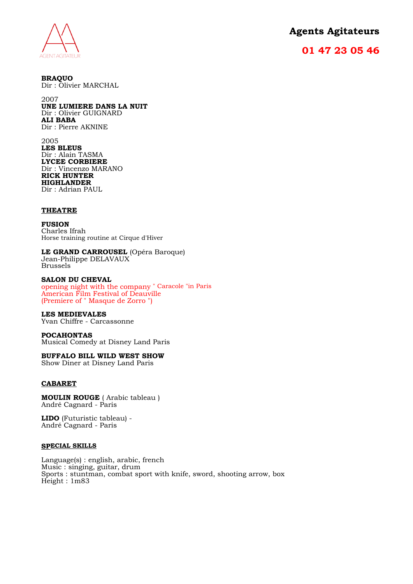

## **01 47 23 05 46**

**BRAQUO** Dir : Olivier MARCHAL

2007 **UNE LUMIERE DANS LA NUIT**  Dir : Olivier GUIGNARD **ALI BABA**  Dir : Pierre AKNINE

2005 **LES BLEUS** Dir : Alain TASMA **LYCEE CORBIERE** Dir : Vincenzo MARANO **RICK HUNTER HIGHLANDER** Dir : Adrian PAUL

#### **THEATRE**

**FUSION** Charles Ifrah Horse training routine at Cirque d'Hiver

**LE GRAND CARROUSEL** (Opéra Baroque) Jean-Philippe DELAVAUX Brussels

#### **SALON DU CHEVAL**

opening night with the company " Caracole "in Paris American Film Festival of Deauville (Premiere of " Masque de Zorro ")

**LES MEDIEVALES** 

Yvan Chiffre - Carcassonne

**POCAHONTAS** Musical Comedy at Disney Land Paris

**BUFFALO BILL WILD WEST SHOW**

Show Diner at Disney Land Paris

#### **CABARET**

**MOULIN ROUGE** ( Arabic tableau ) André Cagnard - Paris

**LIDO** (Futuristic tableau) - André Cagnard - Paris

#### **SPECIAL SKILLS**

Language(s) : english, arabic, french Music : singing, guitar, drum Sports : stuntman, combat sport with knife, sword, shooting arrow, box Height : 1m83